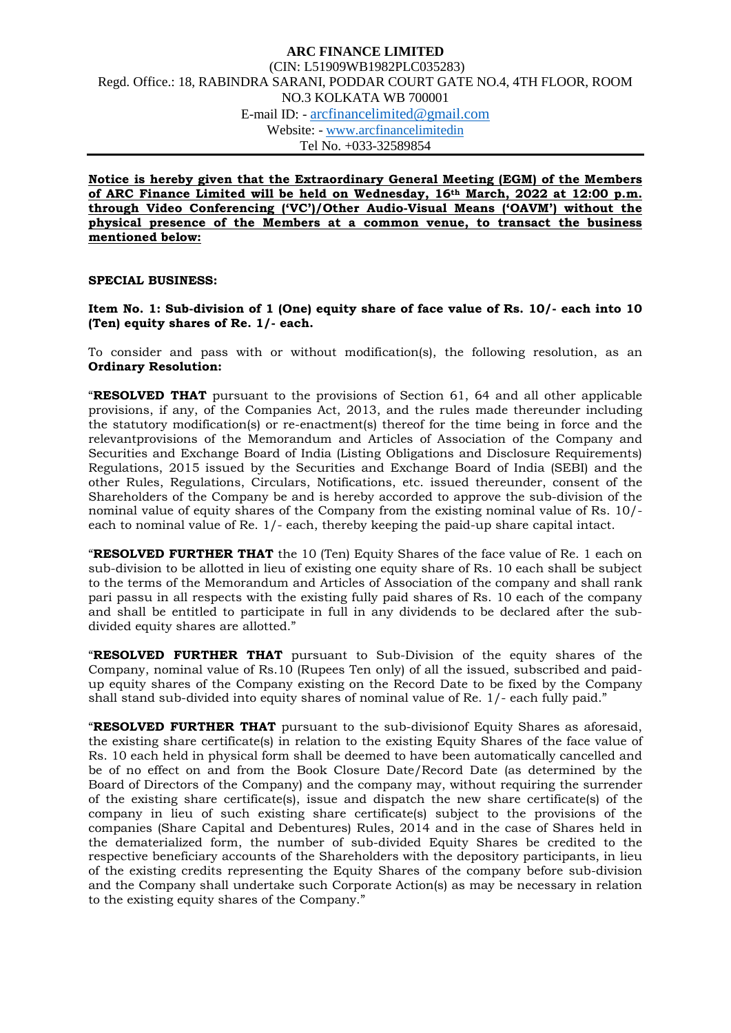**Notice is hereby given that the Extraordinary General Meeting (EGM) of the Members of ARC Finance Limited will be held on Wednesday, 16th March, 2022 at 12:00 p.m. through Video Conferencing ('VC')/Other Audio-Visual Means ('OAVM') without the physical presence of the Members at a common venue, to transact the business mentioned below:** 

#### **SPECIAL BUSINESS:**

#### **Item No. 1: Sub-division of 1 (One) equity share of face value of Rs. 10/- each into 10 (Ten) equity shares of Re. 1/- each.**

To consider and pass with or without modification(s), the following resolution, as an **Ordinary Resolution:**

"**RESOLVED THAT** pursuant to the provisions of Section 61, 64 and all other applicable provisions, if any, of the Companies Act, 2013, and the rules made thereunder including the statutory modification(s) or re-enactment(s) thereof for the time being in force and the relevantprovisions of the Memorandum and Articles of Association of the Company and Securities and Exchange Board of India (Listing Obligations and Disclosure Requirements) Regulations, 2015 issued by the Securities and Exchange Board of India (SEBI) and the other Rules, Regulations, Circulars, Notifications, etc. issued thereunder, consent of the Shareholders of the Company be and is hereby accorded to approve the sub-division of the nominal value of equity shares of the Company from the existing nominal value of Rs. 10/ each to nominal value of Re. 1/- each, thereby keeping the paid-up share capital intact.

"**RESOLVED FURTHER THAT** the 10 (Ten) Equity Shares of the face value of Re. 1 each on sub-division to be allotted in lieu of existing one equity share of Rs. 10 each shall be subject to the terms of the Memorandum and Articles of Association of the company and shall rank pari passu in all respects with the existing fully paid shares of Rs. 10 each of the company and shall be entitled to participate in full in any dividends to be declared after the subdivided equity shares are allotted."

"**RESOLVED FURTHER THAT** pursuant to Sub-Division of the equity shares of the Company, nominal value of Rs.10 (Rupees Ten only) of all the issued, subscribed and paidup equity shares of the Company existing on the Record Date to be fixed by the Company shall stand sub-divided into equity shares of nominal value of Re. 1/- each fully paid."

"**RESOLVED FURTHER THAT** pursuant to the sub-divisionof Equity Shares as aforesaid, the existing share certificate(s) in relation to the existing Equity Shares of the face value of Rs. 10 each held in physical form shall be deemed to have been automatically cancelled and be of no effect on and from the Book Closure Date/Record Date (as determined by the Board of Directors of the Company) and the company may, without requiring the surrender of the existing share certificate(s), issue and dispatch the new share certificate(s) of the company in lieu of such existing share certificate(s) subject to the provisions of the companies (Share Capital and Debentures) Rules, 2014 and in the case of Shares held in the dematerialized form, the number of sub-divided Equity Shares be credited to the respective beneficiary accounts of the Shareholders with the depository participants, in lieu of the existing credits representing the Equity Shares of the company before sub-division and the Company shall undertake such Corporate Action(s) as may be necessary in relation to the existing equity shares of the Company."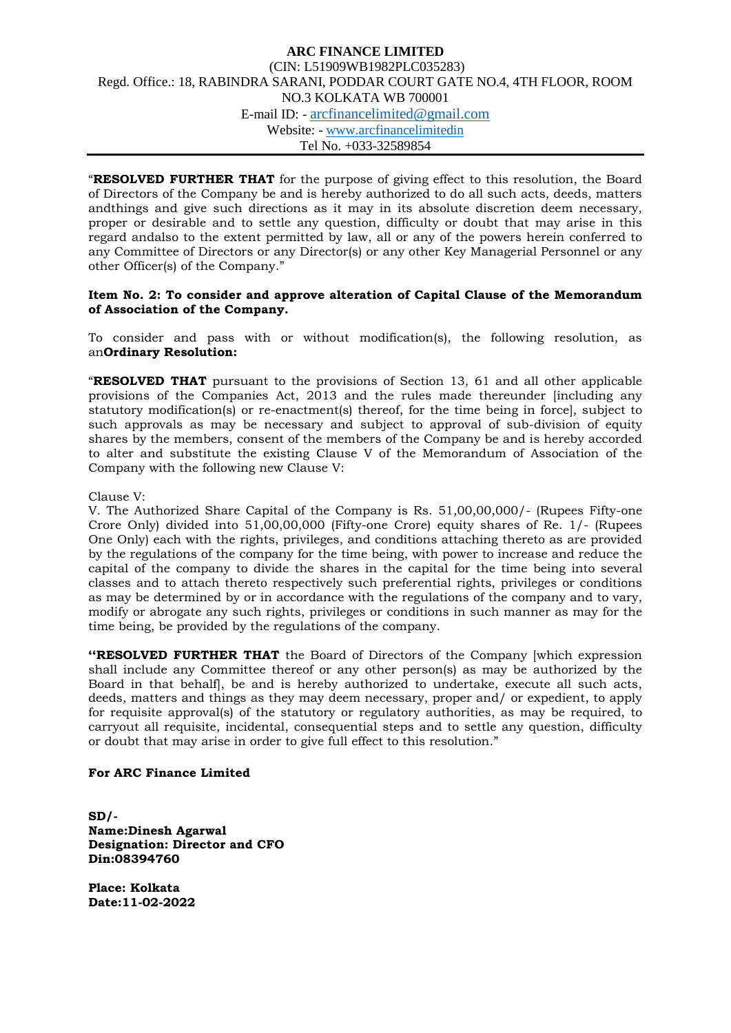"**RESOLVED FURTHER THAT** for the purpose of giving effect to this resolution, the Board of Directors of the Company be and is hereby authorized to do all such acts, deeds, matters andthings and give such directions as it may in its absolute discretion deem necessary, proper or desirable and to settle any question, difficulty or doubt that may arise in this regard andalso to the extent permitted by law, all or any of the powers herein conferred to any Committee of Directors or any Director(s) or any other Key Managerial Personnel or any other Officer(s) of the Company."

#### **Item No. 2: To consider and approve alteration of Capital Clause of the Memorandum of Association of the Company.**

To consider and pass with or without modification(s), the following resolution, as an**Ordinary Resolution:**

"**RESOLVED THAT** pursuant to the provisions of Section 13, 61 and all other applicable provisions of the Companies Act, 2013 and the rules made thereunder [including any statutory modification(s) or re-enactment(s) thereof, for the time being in force], subject to such approvals as may be necessary and subject to approval of sub-division of equity shares by the members, consent of the members of the Company be and is hereby accorded to alter and substitute the existing Clause V of the Memorandum of Association of the Company with the following new Clause V:

#### Clause V:

V. The Authorized Share Capital of the Company is Rs. 51,00,00,000/- (Rupees Fifty-one Crore Only) divided into 51,00,00,000 (Fifty-one Crore) equity shares of Re. 1/- (Rupees One Only) each with the rights, privileges, and conditions attaching thereto as are provided by the regulations of the company for the time being, with power to increase and reduce the capital of the company to divide the shares in the capital for the time being into several classes and to attach thereto respectively such preferential rights, privileges or conditions as may be determined by or in accordance with the regulations of the company and to vary, modify or abrogate any such rights, privileges or conditions in such manner as may for the time being, be provided by the regulations of the company.

**''RESOLVED FURTHER THAT** the Board of Directors of the Company [which expression shall include any Committee thereof or any other person(s) as may be authorized by the Board in that behalf], be and is hereby authorized to undertake, execute all such acts, deeds, matters and things as they may deem necessary, proper and/ or expedient, to apply for requisite approval(s) of the statutory or regulatory authorities, as may be required, to carryout all requisite, incidental, consequential steps and to settle any question, difficulty or doubt that may arise in order to give full effect to this resolution."

#### **For ARC Finance Limited**

**SD/- Name:Dinesh Agarwal Designation: Director and CFO Din:08394760**

**Place: Kolkata Date:11-02-2022**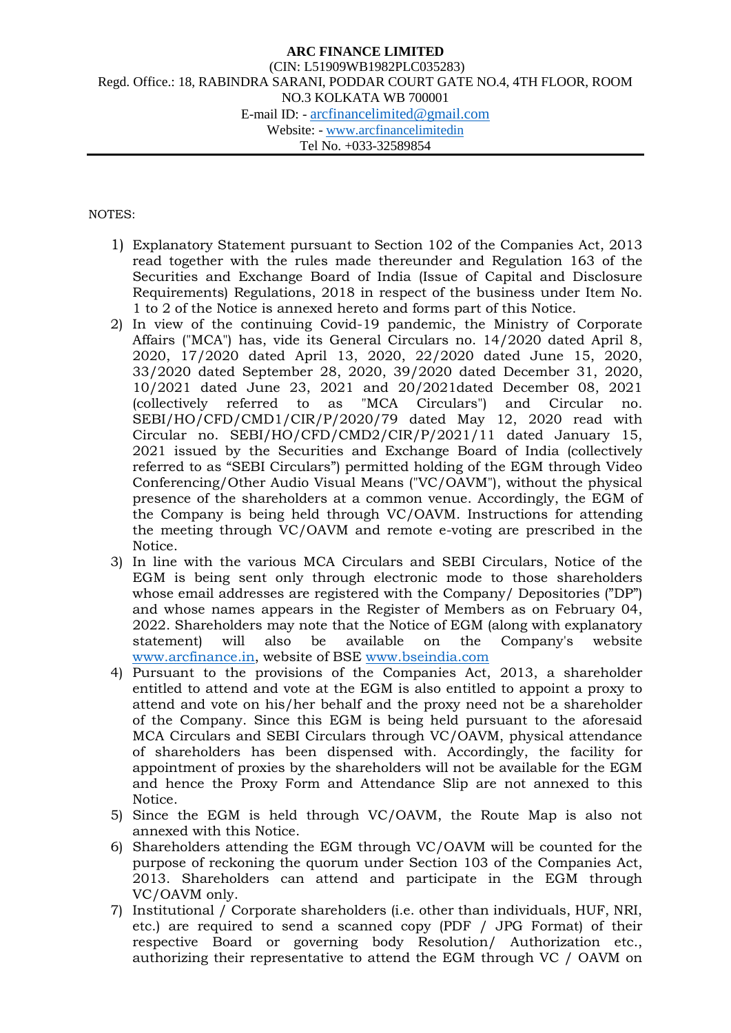### NOTES:

- 1) Explanatory Statement pursuant to Section 102 of the Companies Act, 2013 read together with the rules made thereunder and Regulation 163 of the Securities and Exchange Board of India (Issue of Capital and Disclosure Requirements) Regulations, 2018 in respect of the business under Item No. 1 to 2 of the Notice is annexed hereto and forms part of this Notice.
- 2) In view of the continuing Covid-19 pandemic, the Ministry of Corporate Affairs ("MCA") has, vide its General Circulars no. 14/2020 dated April 8, 2020, 17/2020 dated April 13, 2020, 22/2020 dated June 15, 2020, 33/2020 dated September 28, 2020, 39/2020 dated December 31, 2020, 10/2021 dated June 23, 2021 and 20/2021dated December 08, 2021 (collectively referred to as "MCA Circulars") and Circular no. SEBI/HO/CFD/CMD1/CIR/P/2020/79 dated May 12, 2020 read with Circular no. SEBI/HO/CFD/CMD2/CIR/P/2021/11 dated January 15, 2021 issued by the Securities and Exchange Board of India (collectively referred to as "SEBI Circulars") permitted holding of the EGM through Video Conferencing/Other Audio Visual Means ("VC/OAVM"), without the physical presence of the shareholders at a common venue. Accordingly, the EGM of the Company is being held through VC/OAVM. Instructions for attending the meeting through VC/OAVM and remote e-voting are prescribed in the Notice.
- 3) In line with the various MCA Circulars and SEBI Circulars, Notice of the EGM is being sent only through electronic mode to those shareholders whose email addresses are registered with the Company/ Depositories ("DP") and whose names appears in the Register of Members as on February 04, 2022. Shareholders may note that the Notice of EGM (along with explanatory statement) will also be available on the Company's website [www.arcfinance.in,](http://www.arcfinance.in/) website of BSE [www.bseindia.com](http://www.bseindia.com/)
- 4) Pursuant to the provisions of the Companies Act, 2013, a shareholder entitled to attend and vote at the EGM is also entitled to appoint a proxy to attend and vote on his/her behalf and the proxy need not be a shareholder of the Company. Since this EGM is being held pursuant to the aforesaid MCA Circulars and SEBI Circulars through VC/OAVM, physical attendance of shareholders has been dispensed with. Accordingly, the facility for appointment of proxies by the shareholders will not be available for the EGM and hence the Proxy Form and Attendance Slip are not annexed to this Notice.
- 5) Since the EGM is held through VC/OAVM, the Route Map is also not annexed with this Notice.
- 6) Shareholders attending the EGM through VC/OAVM will be counted for the purpose of reckoning the quorum under Section 103 of the Companies Act, 2013. Shareholders can attend and participate in the EGM through VC/OAVM only.
- 7) Institutional / Corporate shareholders (i.e. other than individuals, HUF, NRI, etc.) are required to send a scanned copy (PDF / JPG Format) of their respective Board or governing body Resolution/ Authorization etc., authorizing their representative to attend the EGM through VC / OAVM on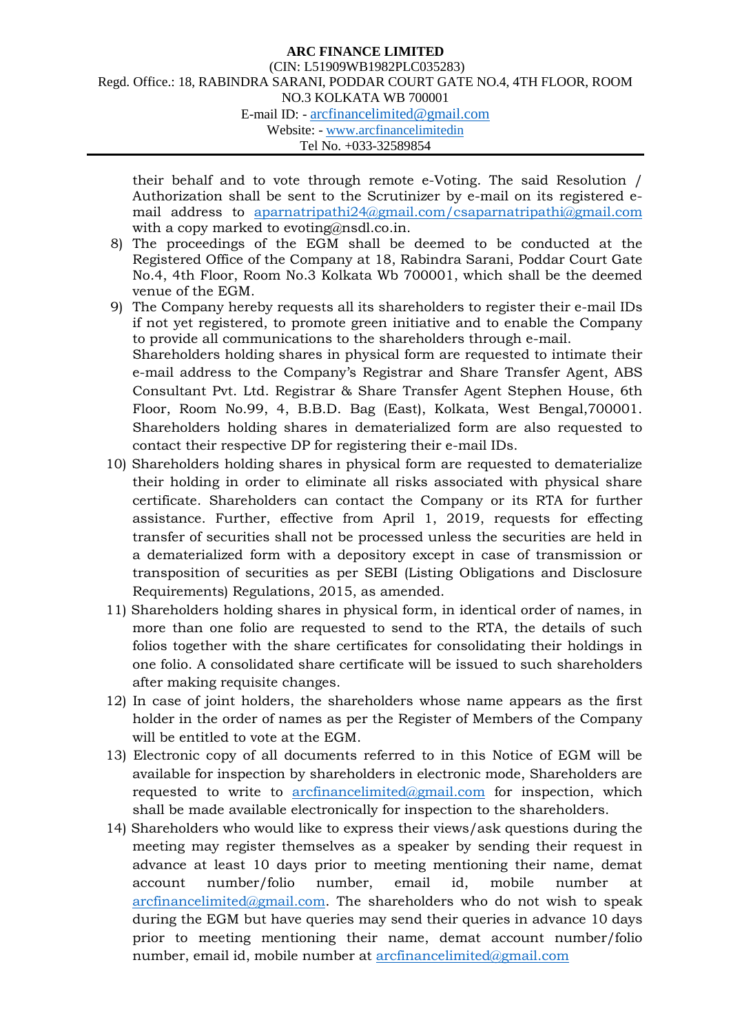their behalf and to vote through remote e-Voting. The said Resolution / Authorization shall be sent to the Scrutinizer by e-mail on its registered email address to [a](mailto:aparnatripathi24@gmail.com/)parnatripathi24@gmail.com[/csaparnatripathi@gmail.com](mailto:aparnatripathi24@gmail.com/) with a copy marked to evoting@nsdl.co.in.

- 8) The proceedings of the EGM shall be deemed to be conducted at the Registered Office of the Company at 18, Rabindra Sarani, Poddar Court Gate No.4, 4th Floor, Room No.3 Kolkata Wb 700001, which shall be the deemed venue of the EGM.
- 9) The Company hereby requests all its shareholders to register their e-mail IDs if not yet registered, to promote green initiative and to enable the Company to provide all communications to the shareholders through e-mail. Shareholders holding shares in physical form are requested to intimate their e-mail address to the Company's Registrar and Share Transfer Agent, ABS Consultant Pvt. Ltd. Registrar & Share Transfer Agent Stephen House, 6th Floor, Room No.99, 4, B.B.D. Bag (East), Kolkata, West Bengal,700001. Shareholders holding shares in dematerialized form are also requested to contact their respective DP for registering their e-mail IDs.
- 10) Shareholders holding shares in physical form are requested to dematerialize their holding in order to eliminate all risks associated with physical share certificate. Shareholders can contact the Company or its RTA for further assistance. Further, effective from April 1, 2019, requests for effecting transfer of securities shall not be processed unless the securities are held in a dematerialized form with a depository except in case of transmission or transposition of securities as per SEBI (Listing Obligations and Disclosure Requirements) Regulations, 2015, as amended.
- 11) Shareholders holding shares in physical form, in identical order of names, in more than one folio are requested to send to the RTA, the details of such folios together with the share certificates for consolidating their holdings in one folio. A consolidated share certificate will be issued to such shareholders after making requisite changes.
- 12) In case of joint holders, the shareholders whose name appears as the first holder in the order of names as per the Register of Members of the Company will be entitled to vote at the EGM.
- 13) Electronic copy of all documents referred to in this Notice of EGM will be available for inspection by shareholders in electronic mode, Shareholders are requested to write to [arcfinancelimited@gmail.com](mailto:arcfinancelimited@gmail.com) for inspection, which shall be made available electronically for inspection to the shareholders.
- 14) Shareholders who would like to express their views/ask questions during the meeting may register themselves as a speaker by sending their request in advance at least 10 days prior to meeting mentioning their name, demat account number/folio number, email id, mobile number at [arcfinancelimited@gmail.com.](mailto:arcfinancelimited@gmail.com) The shareholders who do not wish to speak during the EGM but have queries may send their queries in advance 10 days prior to meeting mentioning their name, demat account number/folio number, email id, mobile number at [arcfinancelimited@gmail.com](mailto:arcfinancelimited@gmail.com)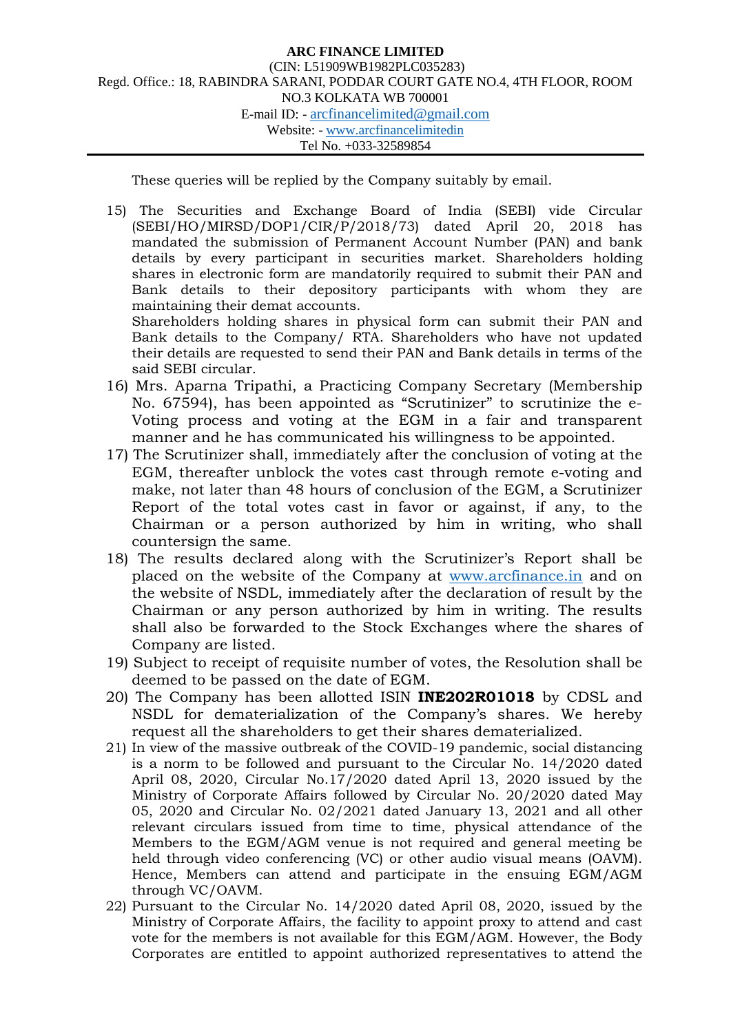These queries will be replied by the Company suitably by email.

15) The Securities and Exchange Board of India (SEBI) vide Circular (SEBI/HO/MIRSD/DOP1/CIR/P/2018/73) dated April 20, 2018 has mandated the submission of Permanent Account Number (PAN) and bank details by every participant in securities market. Shareholders holding shares in electronic form are mandatorily required to submit their PAN and Bank details to their depository participants with whom they are maintaining their demat accounts.

Shareholders holding shares in physical form can submit their PAN and Bank details to the Company/ RTA. Shareholders who have not updated their details are requested to send their PAN and Bank details in terms of the said SEBI circular.

- 16) Mrs. Aparna Tripathi, a Practicing Company Secretary (Membership No. 67594), has been appointed as "Scrutinizer" to scrutinize the e-Voting process and voting at the EGM in a fair and transparent manner and he has communicated his willingness to be appointed.
- 17) The Scrutinizer shall, immediately after the conclusion of voting at the EGM, thereafter unblock the votes cast through remote e-voting and make, not later than 48 hours of conclusion of the EGM, a Scrutinizer Report of the total votes cast in favor or against, if any, to the Chairman or a person authorized by him in writing, who shall countersign the same.
- 18) The results declared along with the Scrutinizer's Report shall be placed on the website of the Company at [www.arcfinance.in](http://www.arcfinance.in/) and on the website of NSDL, immediately after the declaration of result by the Chairman or any person authorized by him in writing. The results shall also be forwarded to the Stock Exchanges where the shares of Company are listed.
- 19) Subject to receipt of requisite number of votes, the Resolution shall be deemed to be passed on the date of EGM.
- 20) The Company has been allotted ISIN **INE202R01018** by CDSL and NSDL for dematerialization of the Company's shares. We hereby request all the shareholders to get their shares dematerialized.
- 21) In view of the massive outbreak of the COVID-19 pandemic, social distancing is a norm to be followed and pursuant to the Circular No. 14/2020 dated April 08, 2020, Circular No.17/2020 dated April 13, 2020 issued by the Ministry of Corporate Affairs followed by Circular No. 20/2020 dated May 05, 2020 and Circular No. 02/2021 dated January 13, 2021 and all other relevant circulars issued from time to time, physical attendance of the Members to the EGM/AGM venue is not required and general meeting be held through video conferencing (VC) or other audio visual means (OAVM). Hence, Members can attend and participate in the ensuing EGM/AGM through VC/OAVM.
- 22) Pursuant to the Circular No. 14/2020 dated April 08, 2020, issued by the Ministry of Corporate Affairs, the facility to appoint proxy to attend and cast vote for the members is not available for this EGM/AGM. However, the Body Corporates are entitled to appoint authorized representatives to attend the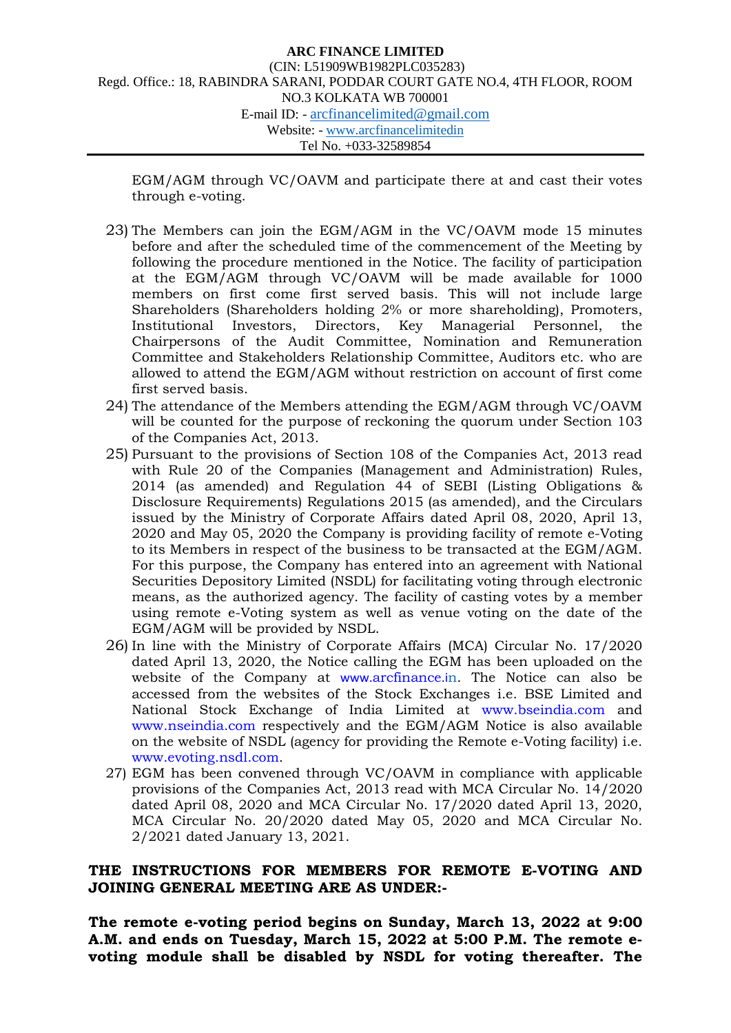EGM/AGM through VC/OAVM and participate there at and cast their votes through e-voting.

- 23) The Members can join the EGM/AGM in the VC/OAVM mode 15 minutes before and after the scheduled time of the commencement of the Meeting by following the procedure mentioned in the Notice. The facility of participation at the EGM/AGM through VC/OAVM will be made available for 1000 members on first come first served basis. This will not include large Shareholders (Shareholders holding 2% or more shareholding), Promoters, Institutional Investors, Directors, Key Managerial Personnel, the Chairpersons of the Audit Committee, Nomination and Remuneration Committee and Stakeholders Relationship Committee, Auditors etc. who are allowed to attend the EGM/AGM without restriction on account of first come first served basis.
- 24) The attendance of the Members attending the EGM/AGM through VC/OAVM will be counted for the purpose of reckoning the quorum under Section 103 of the Companies Act, 2013.
- 25) Pursuant to the provisions of Section 108 of the Companies Act, 2013 read with Rule 20 of the Companies (Management and Administration) Rules, 2014 (as amended) and Regulation 44 of SEBI (Listing Obligations & Disclosure Requirements) Regulations 2015 (as amended), and the Circulars issued by the Ministry of Corporate Affairs dated April 08, 2020, April 13, 2020 and May 05, 2020 the Company is providing facility of remote e-Voting to its Members in respect of the business to be transacted at the EGM/AGM. For this purpose, the Company has entered into an agreement with National Securities Depository Limited (NSDL) for facilitating voting through electronic means, as the authorized agency. The facility of casting votes by a member using remote e-Voting system as well as venue voting on the date of the EGM/AGM will be provided by NSDL.
- 26) In line with the Ministry of Corporate Affairs (MCA) Circular No. 17/2020 dated April 13, 2020, the Notice calling the EGM has been uploaded on the website of the Company at www.[arcfinance](http://www.arcfinance.in/).in. The Notice can also be accessed from the websites of the Stock Exchanges i.e. BSE Limited and National Stock Exchange of India Limited at www.bseindia.com and www.nseindia.com respectively and the EGM/AGM Notice is also available on the website of NSDL (agency for providing the Remote e-Voting facility) i.e. www.evoting.nsdl.com.
- 27) EGM has been convened through VC/OAVM in compliance with applicable provisions of the Companies Act, 2013 read with MCA Circular No. 14/2020 dated April 08, 2020 and MCA Circular No. 17/2020 dated April 13, 2020, MCA Circular No. 20/2020 dated May 05, 2020 and MCA Circular No. 2/2021 dated January 13, 2021.

## **THE INSTRUCTIONS FOR MEMBERS FOR REMOTE E-VOTING AND JOINING GENERAL MEETING ARE AS UNDER:-**

**The remote e-voting period begins on Sunday, March 13, 2022 at 9:00 A.M. and ends on Tuesday, March 15, 2022 at 5:00 P.M. The remote evoting module shall be disabled by NSDL for voting thereafter. The**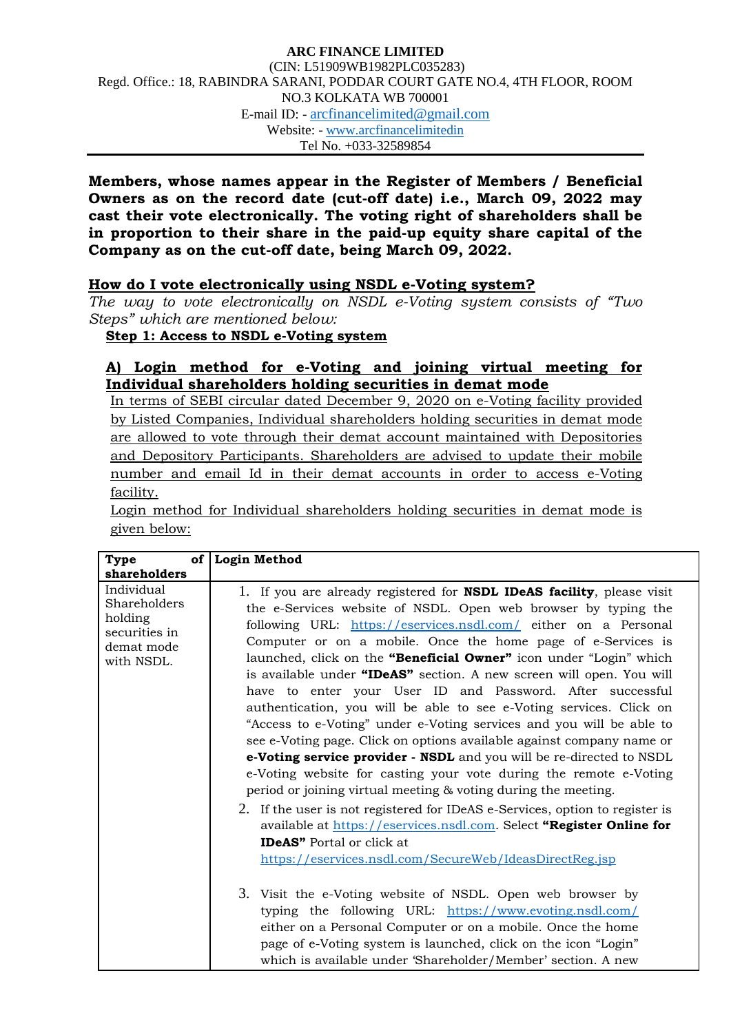**Members, whose names appear in the Register of Members / Beneficial Owners as on the record date (cut-off date) i.e., March 09, 2022 may cast their vote electronically. The voting right of shareholders shall be in proportion to their share in the paid-up equity share capital of the Company as on the cut-off date, being March 09, 2022.**

# **How do I vote electronically using NSDL e-Voting system?**

*The way to vote electronically on NSDL e-Voting system consists of "Two Steps" which are mentioned below:*

**Step 1: Access to NSDL e-Voting system**

# **A) Login method for e-Voting and joining virtual meeting for Individual shareholders holding securities in demat mode**

In terms of SEBI circular dated December 9, 2020 on e-Voting facility provided by Listed Companies, Individual shareholders holding securities in demat mode are allowed to vote through their demat account maintained with Depositories and Depository Participants. Shareholders are advised to update their mobile number and email Id in their demat accounts in order to access e-Voting facility.

Login method for Individual shareholders holding securities in demat mode is given below:

| Type                                                                               | of Login Method                                                                                                                                                                                                                                                                                                                                                                                                                                                                                                                                                                                                                                                                                                                                                                                                                                                                                                                                                                                                                                                                                                                                                                                                                                             |
|------------------------------------------------------------------------------------|-------------------------------------------------------------------------------------------------------------------------------------------------------------------------------------------------------------------------------------------------------------------------------------------------------------------------------------------------------------------------------------------------------------------------------------------------------------------------------------------------------------------------------------------------------------------------------------------------------------------------------------------------------------------------------------------------------------------------------------------------------------------------------------------------------------------------------------------------------------------------------------------------------------------------------------------------------------------------------------------------------------------------------------------------------------------------------------------------------------------------------------------------------------------------------------------------------------------------------------------------------------|
| shareholders                                                                       |                                                                                                                                                                                                                                                                                                                                                                                                                                                                                                                                                                                                                                                                                                                                                                                                                                                                                                                                                                                                                                                                                                                                                                                                                                                             |
| Individual<br>Shareholders<br>holding<br>securities in<br>demat mode<br>with NSDL. | 1. If you are already registered for <b>NSDL IDeAS facility</b> , please visit<br>the e-Services website of NSDL. Open web browser by typing the<br>following URL: https://eservices.nsdl.com/ either on a Personal<br>Computer or on a mobile. Once the home page of e-Services is<br>launched, click on the "Beneficial Owner" icon under "Login" which<br>is available under "IDeAS" section. A new screen will open. You will<br>have to enter your User ID and Password. After successful<br>authentication, you will be able to see e-Voting services. Click on<br>"Access to e-Voting" under e-Voting services and you will be able to<br>see e-Voting page. Click on options available against company name or<br>e-Voting service provider - NSDL and you will be re-directed to NSDL<br>e-Voting website for casting your vote during the remote e-Voting<br>period or joining virtual meeting & voting during the meeting.<br>2. If the user is not registered for IDeAS e-Services, option to register is<br>available at https://eservices.nsdl.com. Select "Register Online for<br><b>IDeAS</b> " Portal or click at<br>https://eservices.nsdl.com/SecureWeb/IdeasDirectReg.jsp<br>3. Visit the e-Voting website of NSDL. Open web browser by |
|                                                                                    | typing the following URL: https://www.evoting.nsdl.com/<br>either on a Personal Computer or on a mobile. Once the home<br>page of e-Voting system is launched, click on the icon "Login"                                                                                                                                                                                                                                                                                                                                                                                                                                                                                                                                                                                                                                                                                                                                                                                                                                                                                                                                                                                                                                                                    |
|                                                                                    | which is available under 'Shareholder/Member' section. A new                                                                                                                                                                                                                                                                                                                                                                                                                                                                                                                                                                                                                                                                                                                                                                                                                                                                                                                                                                                                                                                                                                                                                                                                |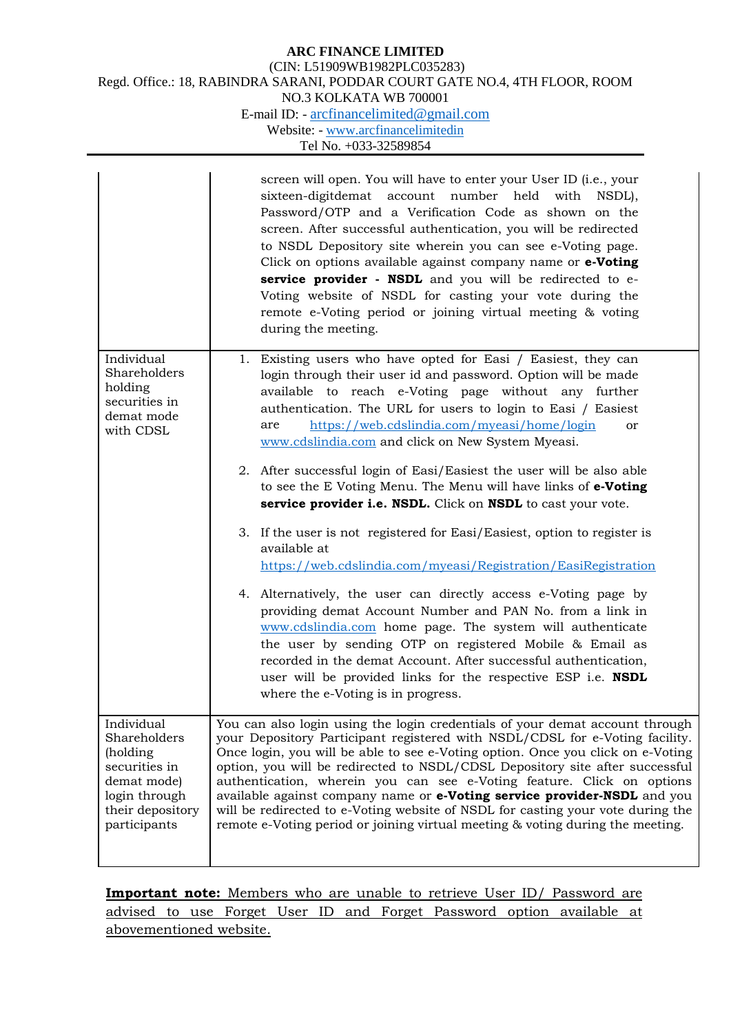|                                                                                                                              |                                                                                   | screen will open. You will have to enter your User ID (i.e., your<br>sixteen-digitdemat account number held with<br>NSDL),<br>Password/OTP and a Verification Code as shown on the<br>screen. After successful authentication, you will be redirected<br>to NSDL Depository site wherein you can see e-Voting page.<br>Click on options available against company name or e-Voting<br>service provider - NSDL and you will be redirected to e-<br>Voting website of NSDL for casting your vote during the<br>remote e-Voting period or joining virtual meeting & voting<br>during the meeting.                                                             |
|------------------------------------------------------------------------------------------------------------------------------|-----------------------------------------------------------------------------------|------------------------------------------------------------------------------------------------------------------------------------------------------------------------------------------------------------------------------------------------------------------------------------------------------------------------------------------------------------------------------------------------------------------------------------------------------------------------------------------------------------------------------------------------------------------------------------------------------------------------------------------------------------|
|                                                                                                                              | Individual<br>Shareholders<br>holding<br>securities in<br>demat mode<br>with CDSL | 1. Existing users who have opted for Easi / Easiest, they can<br>login through their user id and password. Option will be made<br>available to reach e-Voting page without any further<br>authentication. The URL for users to login to Easi / Easiest<br>https://web.cdslindia.com/myeasi/home/login<br>are<br>or<br>www.cdslindia.com and click on New System Myeasi.<br>2. After successful login of Easi/Easiest the user will be also able<br>to see the E Voting Menu. The Menu will have links of e-Voting<br>service provider i.e. NSDL. Click on NSDL to cast your vote.                                                                          |
|                                                                                                                              |                                                                                   | 3. If the user is not registered for Easi/Easiest, option to register is<br>available at<br>https://web.cdslindia.com/myeasi/Registration/EasiRegistration<br>4. Alternatively, the user can directly access e-Voting page by<br>providing demat Account Number and PAN No. from a link in<br>www.cdslindia.com home page. The system will authenticate<br>the user by sending OTP on registered Mobile & Email as<br>recorded in the demat Account. After successful authentication,<br>user will be provided links for the respective ESP i.e. NSDL<br>where the e-Voting is in progress.                                                                |
| Individual<br>Shareholders<br>(holding)<br>securities in<br>demat mode)<br>login through<br>their depository<br>participants |                                                                                   | You can also login using the login credentials of your demat account through<br>your Depository Participant registered with NSDL/CDSL for e-Voting facility.<br>Once login, you will be able to see e-Voting option. Once you click on e-Voting<br>option, you will be redirected to NSDL/CDSL Depository site after successful<br>authentication, wherein you can see e-Voting feature. Click on options<br>available against company name or e-Voting service provider-NSDL and you<br>will be redirected to e-Voting website of NSDL for casting your vote during the<br>remote e-Voting period or joining virtual meeting & voting during the meeting. |

**Important note:** Members who are unable to retrieve User ID/ Password are advised to use Forget User ID and Forget Password option available at abovementioned website.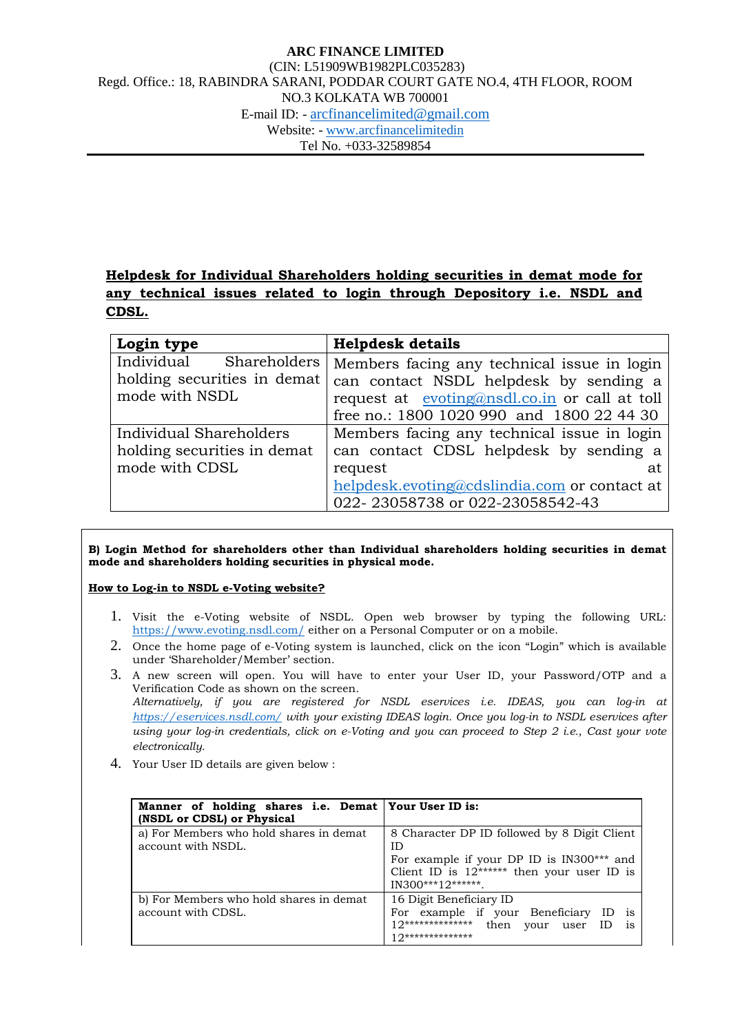# **Helpdesk for Individual Shareholders holding securities in demat mode for any technical issues related to login through Depository i.e. NSDL and CDSL.**

| Login type                  | <b>Helpdesk details</b>                       |
|-----------------------------|-----------------------------------------------|
| Individual Shareholders     | Members facing any technical issue in login   |
| holding securities in demat | can contact NSDL helpdesk by sending a        |
| mode with NSDL              | request at evoting@nsdl.co.in or call at toll |
|                             | free no.: 1800 1020 990 and 1800 22 44 30     |
| Individual Shareholders     | Members facing any technical issue in login   |
| holding securities in demat | can contact CDSL helpdesk by sending a        |
| mode with CDSL              | request<br>at.                                |
|                             | helpdesk.evoting@cdslindia.com or contact at  |
|                             | 022-23058738 or 022-23058542-43               |

#### **B) Login Method for shareholders other than Individual shareholders holding securities in demat mode and shareholders holding securities in physical mode.**

#### **How to Log-in to NSDL e-Voting website?**

- 1. Visit the e-Voting website of NSDL. Open web browser by typing the following URL: <https://www.evoting.nsdl.com/> either on a Personal Computer or on a mobile.
- 2. Once the home page of e-Voting system is launched, click on the icon "Login" which is available under 'Shareholder/Member' section.
- 3. A new screen will open. You will have to enter your User ID, your Password/OTP and a Verification Code as shown on the screen. *Alternatively, if you are registered for NSDL eservices i.e. IDEAS, you can log-in at <https://eservices.nsdl.com/> with your existing IDEAS login. Once you log-in to NSDL eservices after using your log-in credentials, click on e-Voting and you can proceed to Step 2 i.e., Cast your vote electronically.*
- 4. Your User ID details are given below :

| Manner of holding shares i.e. Demat Your User ID is:<br>(NSDL or CDSL) or Physical |                                                                                                                                                                    |
|------------------------------------------------------------------------------------|--------------------------------------------------------------------------------------------------------------------------------------------------------------------|
| a) For Members who hold shares in demat<br>account with NSDL.                      | 8 Character DP ID followed by 8 Digit Client<br>ID<br>For example if your DP ID is IN300*** and<br>Client ID is $12*****$ then your user ID is<br>IN300***12****** |
| b) For Members who hold shares in demat<br>account with CDSL.                      | 16 Digit Beneficiary ID<br>For example if your Beneficiary<br>$12****************$<br>then<br>your user ID<br>1S<br>$10*******************$                        |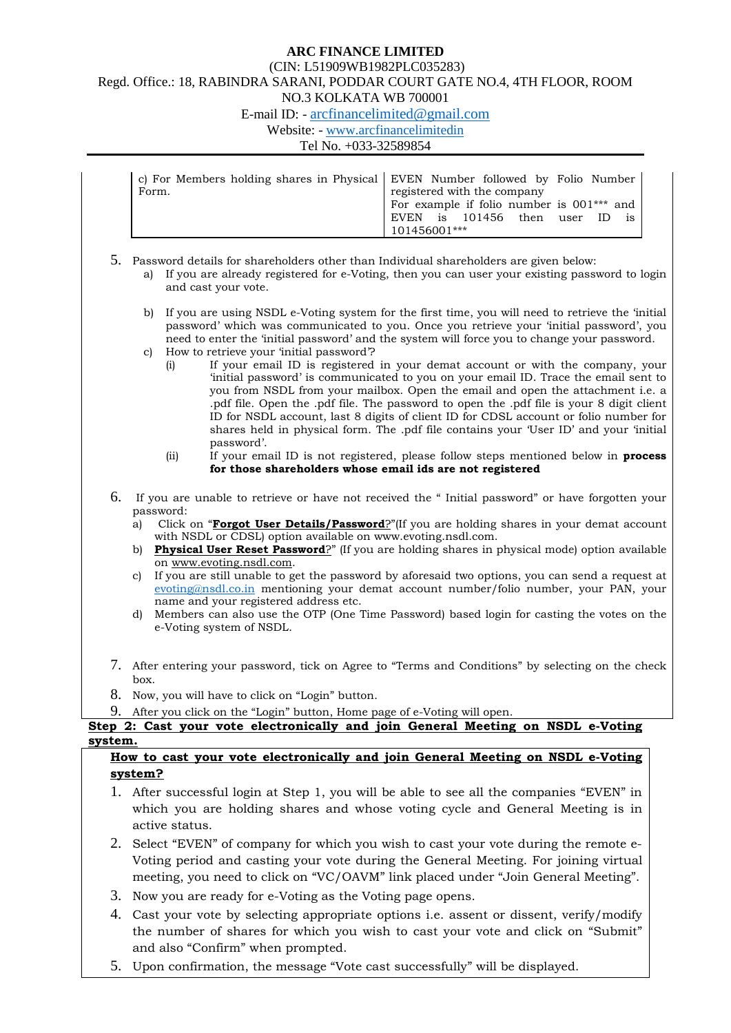### **ARC FINANCE LIMITED**

#### (CIN: L51909WB1982PLC035283) Regd. Office.: 18, RABINDRA SARANI, PODDAR COURT GATE NO.4, 4TH FLOOR, ROOM

### NO.3 KOLKATA WB 700001

E-mail ID: - [arcfinancelimited@gmail.com](mailto:arcfinancelimited@gmail.com)

Website: - [www.arcfinancelimitedin](http://www.arcfinancelimitedin/)

#### Tel No. +033-32589854

|       | c) For Members holding shares in Physical EVEN Number followed by Folio Number |
|-------|--------------------------------------------------------------------------------|
| Form. | registered with the company                                                    |
|       | I For example if folio number is 001*** and                                    |
|       | EVEN is 101456 then user ID is                                                 |
|       | 101456001***                                                                   |

5. Password details for shareholders other than Individual shareholders are given below:

- a) If you are already registered for e-Voting, then you can user your existing password to login and cast your vote.
- b) If you are using NSDL e-Voting system for the first time, you will need to retrieve the 'initial password' which was communicated to you. Once you retrieve your 'initial password', you need to enter the 'initial password' and the system will force you to change your password.
- c) How to retrieve your 'initial password'?
	- (i) If your email ID is registered in your demat account or with the company, your 'initial password' is communicated to you on your email ID. Trace the email sent to you from NSDL from your mailbox. Open the email and open the attachment i.e. a .pdf file. Open the .pdf file. The password to open the .pdf file is your 8 digit client ID for NSDL account, last 8 digits of client ID for CDSL account or folio number for shares held in physical form. The .pdf file contains your 'User ID' and your 'initial password'.
	- (ii) If your email ID is not registered, please follow steps mentioned below in **process for those shareholders whose email ids are not registered**
- 6. If you are unable to retrieve or have not received the " Initial password" or have forgotten your password:
	- a) Click on "**[Forgot User Details/Password](https://www.evoting.nsdl.com/eVotingWeb/commonhtmls/NewUser.jsp)**?"(If you are holding shares in your demat account with NSDL or CDSL) option available on www.evoting.nsdl.com.
	- b) **[Physical User Reset Password](https://www.evoting.nsdl.com/eVotingWeb/commonhtmls/PhysicalUser.jsp)**?" (If you are holding shares in physical mode) option available on [www.evoting.nsdl.com.](http://www.evoting.nsdl.com/)
	- c) If you are still unable to get the password by aforesaid two options, you can send a request at [evoting@nsdl.co.in](mailto:evoting@nsdl.co.in) mentioning your demat account number/folio number, your PAN, your name and your registered address etc.
	- d) Members can also use the OTP (One Time Password) based login for casting the votes on the e-Voting system of NSDL.
- 7. After entering your password, tick on Agree to "Terms and Conditions" by selecting on the check box.
- 8. Now, you will have to click on "Login" button.
- 9. After you click on the "Login" button, Home page of e-Voting will open.

### **Step 2: Cast your vote electronically and join General Meeting on NSDL e-Voting system.**

### **How to cast your vote electronically and join General Meeting on NSDL e-Voting system?**

- 1. After successful login at Step 1, you will be able to see all the companies "EVEN" in which you are holding shares and whose voting cycle and General Meeting is in active status.
- 2. Select "EVEN" of company for which you wish to cast your vote during the remote e-Voting period and casting your vote during the General Meeting. For joining virtual meeting, you need to click on "VC/OAVM" link placed under "Join General Meeting".
- 3. Now you are ready for e-Voting as the Voting page opens.
- 4. Cast your vote by selecting appropriate options i.e. assent or dissent, verify/modify the number of shares for which you wish to cast your vote and click on "Submit" and also "Confirm" when prompted.
- 5. Upon confirmation, the message "Vote cast successfully" will be displayed.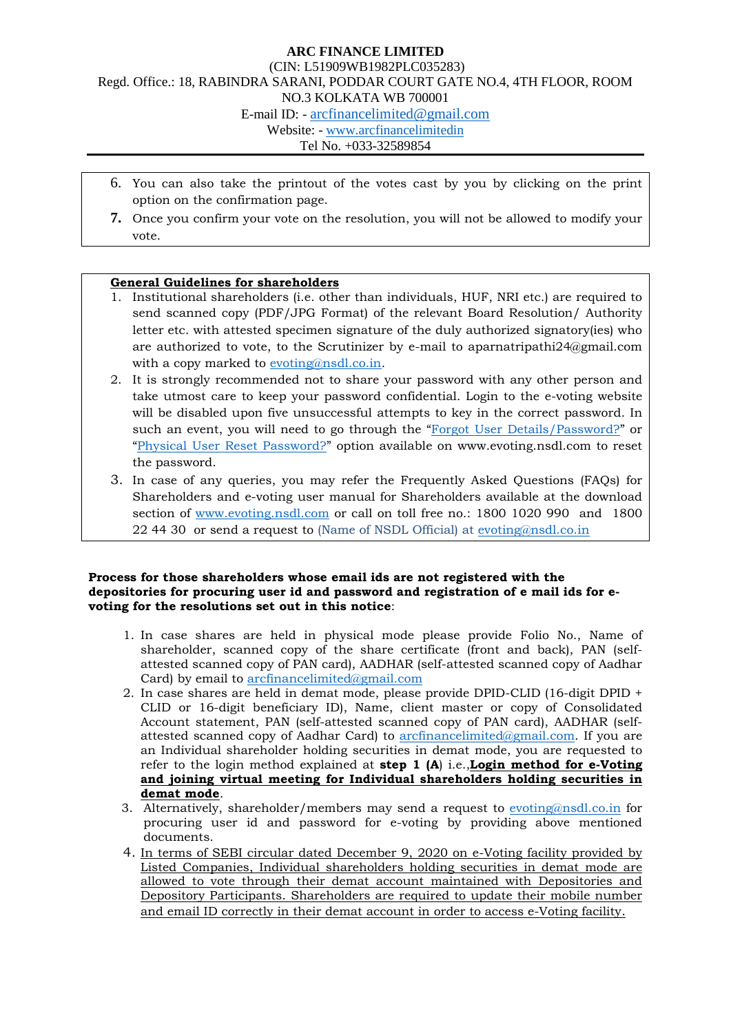- 6. You can also take the printout of the votes cast by you by clicking on the print option on the confirmation page.
- **7.** Once you confirm your vote on the resolution, you will not be allowed to modify your vote.

#### **General Guidelines for shareholders**

- 1. Institutional shareholders (i.e. other than individuals, HUF, NRI etc.) are required to send scanned copy (PDF/JPG Format) of the relevant Board Resolution/ Authority letter etc. with attested specimen signature of the duly authorized signatory(ies) who are authorized to vote, to the Scrutinizer by e-mail to aparnatripathi24@gmail.com with a copy marked to <u>evoting@nsdl.co.in</u>.
- 2. It is strongly recommended not to share your password with any other person and take utmost care to keep your password confidential. Login to the e-voting website will be disabled upon five unsuccessful attempts to key in the correct password. In such an event, you will need to go through the ["Forgot User Details/Password?"](https://www.evoting.nsdl.com/eVotingWeb/commonhtmls/NewUser.jsp) or ["Physical User Reset Password?"](https://www.evoting.nsdl.com/eVotingWeb/commonhtmls/PhysicalUser.jsp) option available on www.evoting.nsdl.com to reset the password.
- 3. In case of any queries, you may refer the Frequently Asked Questions (FAQs) for Shareholders and e-voting user manual for Shareholders available at the download section of [www.evoting.nsdl.com](http://www.evoting.nsdl.com/) or call on toll free no.: 1800 1020 990 and 1800 22 44 30 or send a request to (Name of NSDL Official) at [evoting@nsdl.co.in](mailto:evoting@nsdl.co.in)

#### **Process for those shareholders whose email ids are not registered with the depositories for procuring user id and password and registration of e mail ids for evoting for the resolutions set out in this notice**:

- 1. In case shares are held in physical mode please provide Folio No., Name of shareholder, scanned copy of the share certificate (front and back), PAN (selfattested scanned copy of PAN card), AADHAR (self-attested scanned copy of Aadhar Card) by email to [arcfinancelimited@gmail.com](mailto:arcfinancelimited@gmail.com)
- 2. In case shares are held in demat mode, please provide DPID-CLID (16-digit DPID + CLID or 16-digit beneficiary ID), Name, client master or copy of Consolidated Account statement, PAN (self-attested scanned copy of PAN card), AADHAR (selfattested scanned copy of Aadhar Card) to [arcfinancelimited@gmail.com.](mailto:arcfinancelimited@gmail.com) If you are an Individual shareholder holding securities in demat mode, you are requested to refer to the login method explained at **step 1 (A**) i.e.,**Login method for e-Voting and joining virtual meeting for Individual shareholders holding securities in demat mode** .
- 3. Alternatively, shareholder/members may send a request to **[evoting@nsdl.co.in](mailto:evoting@nsdl.co.in)** for procuring user id and password for e-voting by providing above mentioned documents.
- 4. In terms of SEBI circular dated December 9, 2020 on e-Voting facility provided by Listed Companies, Individual shareholders holding securities in demat mode are allowed to vote through their demat account maintained with Depositories and Depository Participants. Shareholders are required to update their mobile number and email ID correctly in their demat account in order to access e-Voting facility.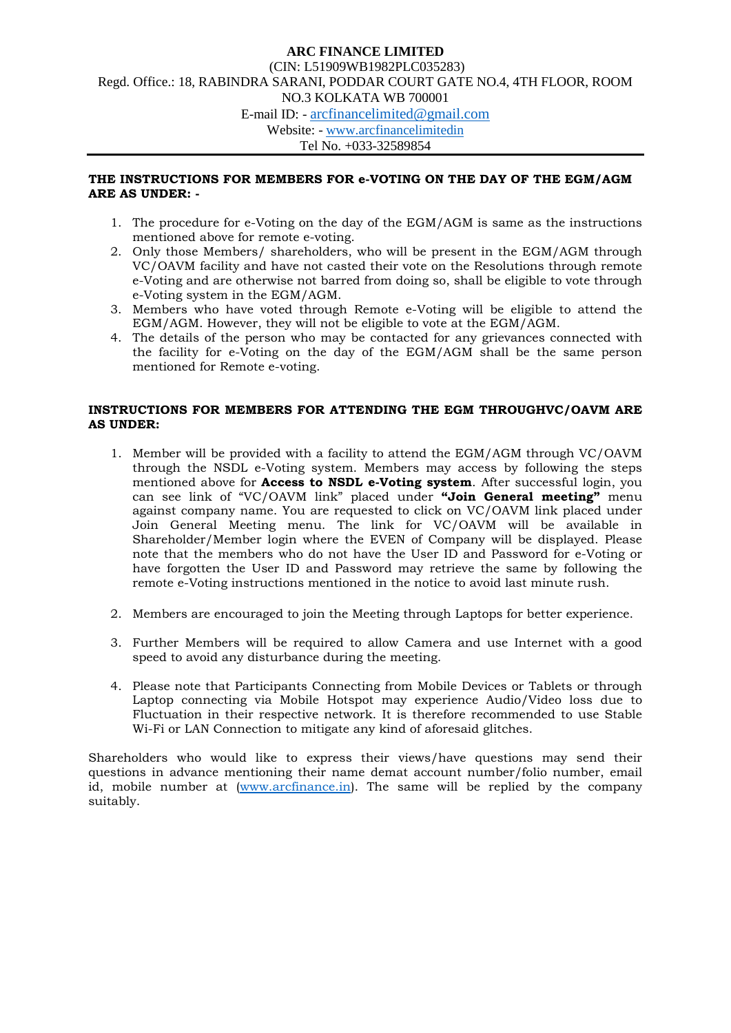#### **THE INSTRUCTIONS FOR MEMBERS FOR e-VOTING ON THE DAY OF THE EGM/AGM ARE AS UNDER: -**

- 1. The procedure for e-Voting on the day of the EGM/AGM is same as the instructions mentioned above for remote e-voting.
- 2. Only those Members/ shareholders, who will be present in the EGM/AGM through VC/OAVM facility and have not casted their vote on the Resolutions through remote e-Voting and are otherwise not barred from doing so, shall be eligible to vote through e-Voting system in the EGM/AGM.
- 3. Members who have voted through Remote e-Voting will be eligible to attend the EGM/AGM. However, they will not be eligible to vote at the EGM/AGM.
- 4. The details of the person who may be contacted for any grievances connected with the facility for e-Voting on the day of the EGM/AGM shall be the same person mentioned for Remote e-voting.

#### **INSTRUCTIONS FOR MEMBERS FOR ATTENDING THE EGM THROUGHVC/OAVM ARE AS UNDER:**

- 1. Member will be provided with a facility to attend the EGM/AGM through VC/OAVM through the NSDL e-Voting system. Members may access by following the steps mentioned above for **Access to NSDL e-Voting system**. After successful login, you can see link of "VC/OAVM link" placed under **"Join General meeting"** menu against company name. You are requested to click on VC/OAVM link placed under Join General Meeting menu. The link for VC/OAVM will be available in Shareholder/Member login where the EVEN of Company will be displayed. Please note that the members who do not have the User ID and Password for e-Voting or have forgotten the User ID and Password may retrieve the same by following the remote e-Voting instructions mentioned in the notice to avoid last minute rush.
- 2. Members are encouraged to join the Meeting through Laptops for better experience.
- 3. Further Members will be required to allow Camera and use Internet with a good speed to avoid any disturbance during the meeting.
- 4. Please note that Participants Connecting from Mobile Devices or Tablets or through Laptop connecting via Mobile Hotspot may experience Audio/Video loss due to Fluctuation in their respective network. It is therefore recommended to use Stable Wi-Fi or LAN Connection to mitigate any kind of aforesaid glitches.

Shareholders who would like to express their views/have questions may send their questions in advance mentioning their name demat account number/folio number, email id, mobile number at [\(www.arcfinance.in\)](http://www.arcfinance.in/). The same will be replied by the company suitably.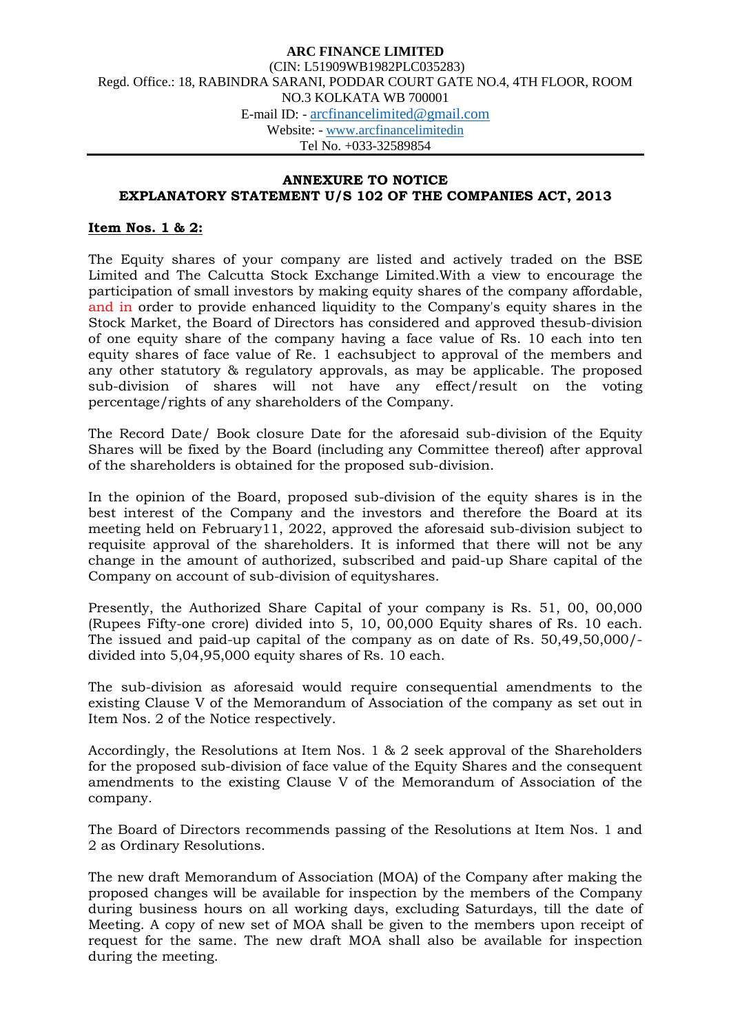### **ANNEXURE TO NOTICE EXPLANATORY STATEMENT U/S 102 OF THE COMPANIES ACT, 2013**

### **Item Nos. 1 & 2:**

The Equity shares of your company are listed and actively traded on the BSE Limited and The Calcutta Stock Exchange Limited.With a view to encourage the participation of small investors by making equity shares of the company affordable, and in order to provide enhanced liquidity to the Company's equity shares in the Stock Market, the Board of Directors has considered and approved thesub-division of one equity share of the company having a face value of Rs. 10 each into ten equity shares of face value of Re. 1 eachsubject to approval of the members and any other statutory & regulatory approvals, as may be applicable. The proposed sub-division of shares will not have any effect/result on the voting percentage/rights of any shareholders of the Company.

The Record Date/ Book closure Date for the aforesaid sub-division of the Equity Shares will be fixed by the Board (including any Committee thereof) after approval of the shareholders is obtained for the proposed sub-division.

In the opinion of the Board, proposed sub-division of the equity shares is in the best interest of the Company and the investors and therefore the Board at its meeting held on February11, 2022, approved the aforesaid sub-division subject to requisite approval of the shareholders. It is informed that there will not be any change in the amount of authorized, subscribed and paid-up Share capital of the Company on account of sub-division of equityshares.

Presently, the Authorized Share Capital of your company is Rs. 51, 00, 00,000 (Rupees Fifty-one crore) divided into 5, 10, 00,000 Equity shares of Rs. 10 each. The issued and paid-up capital of the company as on date of Rs. 50,49,50,000/ divided into 5,04,95,000 equity shares of Rs. 10 each.

The sub-division as aforesaid would require consequential amendments to the existing Clause V of the Memorandum of Association of the company as set out in Item Nos. 2 of the Notice respectively.

Accordingly, the Resolutions at Item Nos. 1 & 2 seek approval of the Shareholders for the proposed sub-division of face value of the Equity Shares and the consequent amendments to the existing Clause V of the Memorandum of Association of the company.

The Board of Directors recommends passing of the Resolutions at Item Nos. 1 and 2 as Ordinary Resolutions.

The new draft Memorandum of Association (MOA) of the Company after making the proposed changes will be available for inspection by the members of the Company during business hours on all working days, excluding Saturdays, till the date of Meeting. A copy of new set of MOA shall be given to the members upon receipt of request for the same. The new draft MOA shall also be available for inspection during the meeting.